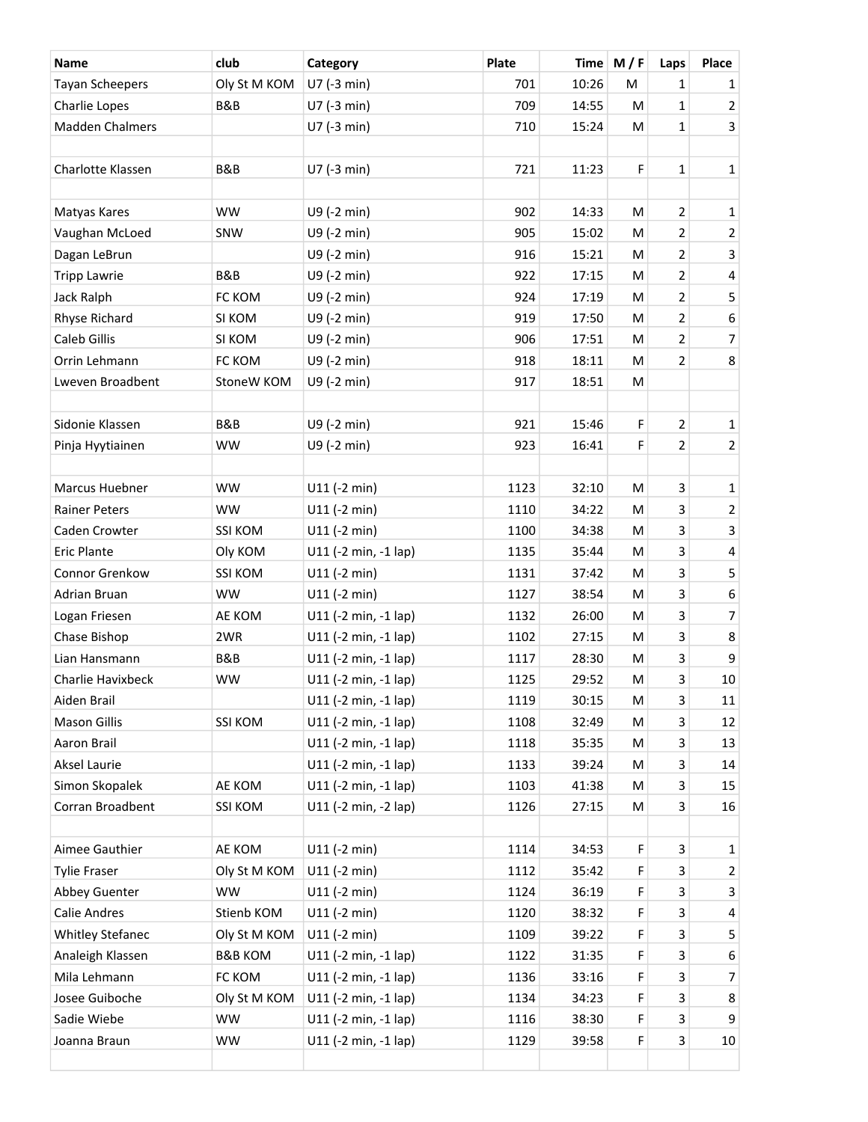| Name                    | club               | Category             | <b>Plate</b> |       | Time $M/F$ | Laps           | Place                   |
|-------------------------|--------------------|----------------------|--------------|-------|------------|----------------|-------------------------|
| <b>Tayan Scheepers</b>  | Oly St M KOM       | U7 (-3 min)          | 701          | 10:26 | M          | 1              | $\mathbf{1}$            |
| Charlie Lopes           | B&B                | U7 (-3 min)          | 709          | 14:55 | M          | 1              | $\overline{2}$          |
| <b>Madden Chalmers</b>  |                    | U7 (-3 min)          | 710          | 15:24 | M          | 1              | 3                       |
|                         |                    |                      |              |       |            |                |                         |
| Charlotte Klassen       | B&B                | U7 (-3 min)          | 721          | 11:23 | F          | 1              | $\mathbf 1$             |
|                         |                    |                      |              |       |            |                |                         |
| Matyas Kares            | <b>WW</b>          | U9 (-2 min)          | 902          | 14:33 | M          | $\overline{2}$ | $\mathbf{1}$            |
| Vaughan McLoed          | SNW                | U9 (-2 min)          | 905          | 15:02 | M          | 2              | $\overline{c}$          |
| Dagan LeBrun            |                    | U9 (-2 min)          | 916          | 15:21 | M          | 2              | 3                       |
| <b>Tripp Lawrie</b>     | B&B                | U9 (-2 min)          | 922          | 17:15 | M          | 2              | $\overline{\mathbf{4}}$ |
| Jack Ralph              | FC KOM             | U9 (-2 min)          | 924          | 17:19 | M          | 2              | 5                       |
| Rhyse Richard           | SI KOM             | U9 (-2 min)          | 919          | 17:50 | M          | $\overline{2}$ | 6                       |
| Caleb Gillis            | SI KOM             | U9 (-2 min)          | 906          | 17:51 | M          | $\overline{2}$ | $\overline{7}$          |
| Orrin Lehmann           | FC KOM             | U9 (-2 min)          | 918          | 18:11 | M          | $\overline{2}$ | 8                       |
| Lweven Broadbent        | StoneW KOM         | U9 (-2 min)          | 917          | 18:51 | M          |                |                         |
|                         |                    |                      |              |       |            |                |                         |
| Sidonie Klassen         | B&B                | U9 (-2 min)          | 921          | 15:46 | F          | $\overline{2}$ | $\mathbf{1}$            |
| Pinja Hyytiainen        | <b>WW</b>          | U9 (-2 min)          | 923          | 16:41 | F          | 2              | $\overline{2}$          |
|                         |                    |                      |              |       |            |                |                         |
| Marcus Huebner          | <b>WW</b>          | $U11$ (-2 min)       | 1123         | 32:10 | M          | 3              | $\mathbf{1}$            |
| <b>Rainer Peters</b>    | <b>WW</b>          | $U11$ (-2 min)       | 1110         | 34:22 | M          | 3              | $\overline{c}$          |
| Caden Crowter           | <b>SSI KOM</b>     | $U11$ (-2 min)       | 1100         | 34:38 | M          | 3              | 3                       |
| <b>Eric Plante</b>      | Oly KOM            | U11 (-2 min, -1 lap) | 1135         | 35:44 | M          | 3              | 4                       |
| Connor Grenkow          | <b>SSI KOM</b>     | $U11$ (-2 min)       | 1131         | 37:42 | M          | 3              | 5                       |
| Adrian Bruan            | <b>WW</b>          | $U11$ (-2 min)       | 1127         | 38:54 | M          | 3              | 6                       |
| Logan Friesen           | AE KOM             | U11 (-2 min, -1 lap) | 1132         | 26:00 | M          | 3              | $\overline{7}$          |
| Chase Bishop            | 2WR                | U11 (-2 min, -1 lap) | 1102         | 27:15 | M          | 3              | 8                       |
| Lian Hansmann           | B&B                | U11 (-2 min, -1 lap) | 1117         | 28:30 | M          | 3              | 9                       |
| Charlie Havixbeck       | <b>WW</b>          | U11 (-2 min, -1 lap) | 1125         | 29:52 | M          | 3              | $10\,$                  |
| Aiden Brail             |                    | U11 (-2 min, -1 lap) | 1119         | 30:15 | M          | 3              | 11                      |
| <b>Mason Gillis</b>     | <b>SSI KOM</b>     | U11 (-2 min, -1 lap) | 1108         | 32:49 | M          | 3              | 12                      |
| Aaron Brail             |                    | U11 (-2 min, -1 lap) | 1118         | 35:35 | M          | 3              | 13                      |
| Aksel Laurie            |                    | U11 (-2 min, -1 lap) | 1133         | 39:24 | М          | 3              | 14                      |
| Simon Skopalek          | AE KOM             | U11 (-2 min, -1 lap) | 1103         | 41:38 | M          | 3              | 15                      |
| Corran Broadbent        | <b>SSI KOM</b>     | U11 (-2 min, -2 lap) | 1126         | 27:15 | М          | 3              | 16                      |
|                         |                    |                      |              |       |            |                |                         |
| Aimee Gauthier          | AE KOM             | $U11$ (-2 min)       | 1114         | 34:53 | F          | 3              | 1                       |
| <b>Tylie Fraser</b>     | Oly St M KOM       | $U11$ (-2 min)       | 1112         | 35:42 | F          | 3              | $\overline{2}$          |
| Abbey Guenter           | WW                 | $U11$ (-2 min)       | 1124         | 36:19 | F          | 3              | 3                       |
| <b>Calie Andres</b>     | Stienb KOM         | $U11$ (-2 min)       | 1120         | 38:32 | F          | 3              | 4                       |
| <b>Whitley Stefanec</b> | Oly St M KOM       | $U11$ (-2 min)       | 1109         | 39:22 | F          | 3              | 5                       |
| Analeigh Klassen        | <b>B&amp;B KOM</b> | U11 (-2 min, -1 lap) | 1122         | 31:35 | F          | 3              | 6                       |
| Mila Lehmann            | FC KOM             | U11 (-2 min, -1 lap) | 1136         | 33:16 | F          | 3              | 7                       |
| Josee Guiboche          | Oly St M KOM       | U11 (-2 min, -1 lap) | 1134         | 34:23 | F          | 3              | 8                       |
| Sadie Wiebe             | WW                 | U11 (-2 min, -1 lap) | 1116         | 38:30 | F          | 3              | 9                       |
| Joanna Braun            | <b>WW</b>          | U11 (-2 min, -1 lap) | 1129         | 39:58 | F          | 3              | 10                      |
|                         |                    |                      |              |       |            |                |                         |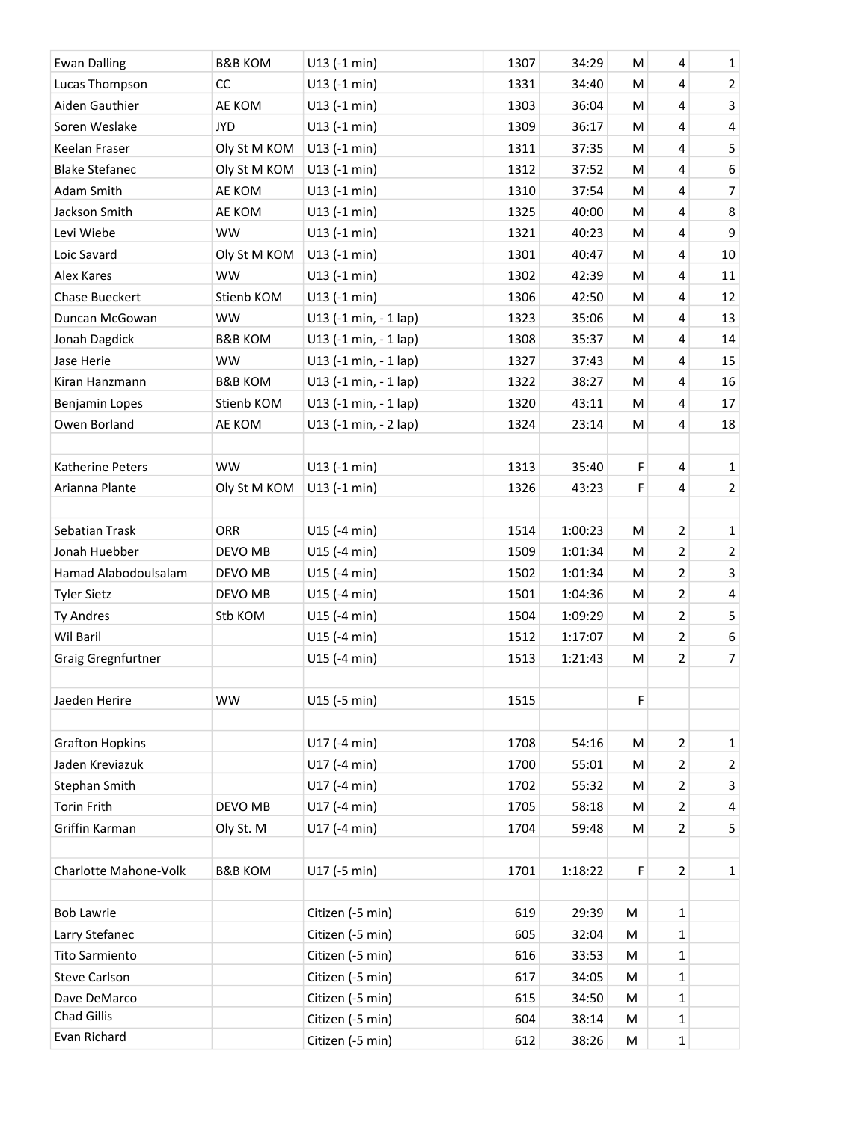| <b>Ewan Dalling</b>    | <b>B&amp;B KOM</b> | $U13$ (-1 min)        | 1307 | 34:29   | ${\sf M}$ | 4              | $\mathbf{1}$     |
|------------------------|--------------------|-----------------------|------|---------|-----------|----------------|------------------|
| Lucas Thompson         | CC                 | $U13$ (-1 min)        | 1331 | 34:40   | M         | 4              | $\overline{2}$   |
| Aiden Gauthier         | AE KOM             | $U13$ (-1 min)        | 1303 | 36:04   | M         | 4              | $\mathbf{3}$     |
| Soren Weslake          | <b>JYD</b>         | U13 (-1 min)          | 1309 | 36:17   | M         | 4              | $\pmb{4}$        |
| Keelan Fraser          | Oly St M KOM       | $U13$ (-1 min)        | 1311 | 37:35   | M         | 4              | 5                |
| <b>Blake Stefanec</b>  | Oly St M KOM       | U13 (-1 min)          | 1312 | 37:52   | M         | 4              | $\boldsymbol{6}$ |
| Adam Smith             | AE KOM             | $U13$ (-1 min)        | 1310 | 37:54   | M         | 4              | $\overline{7}$   |
| Jackson Smith          | AE KOM             | $U13$ (-1 min)        | 1325 | 40:00   | M         | 4              | $\,8\,$          |
| Levi Wiebe             | <b>WW</b>          | $U13$ (-1 min)        | 1321 | 40:23   | M         | 4              | $\boldsymbol{9}$ |
| Loic Savard            | Oly St M KOM       | U13 (-1 min)          | 1301 | 40:47   | M         | 4              | $10\,$           |
| Alex Kares             | <b>WW</b>          | $U13$ (-1 min)        | 1302 | 42:39   | M         | 4              | 11               |
| <b>Chase Bueckert</b>  | Stienb KOM         | U13 (-1 min)          | 1306 | 42:50   | M         | 4              | 12               |
| Duncan McGowan         | <b>WW</b>          | U13 (-1 min, - 1 lap) | 1323 | 35:06   | M         | 4              | 13               |
| Jonah Dagdick          | <b>B&amp;B KOM</b> | U13 (-1 min, - 1 lap) | 1308 | 35:37   | M         | 4              | 14               |
| Jase Herie             | <b>WW</b>          | U13 (-1 min, - 1 lap) | 1327 | 37:43   | M         | 4              | 15               |
| Kiran Hanzmann         | <b>B&amp;B KOM</b> | U13 (-1 min, - 1 lap) | 1322 | 38:27   | M         | 4              | 16               |
| Benjamin Lopes         | Stienb KOM         | U13 (-1 min, - 1 lap) | 1320 | 43:11   | M         | 4              | $17\,$           |
| Owen Borland           | AE KOM             | U13 (-1 min, - 2 lap) | 1324 | 23:14   | M         | 4              | 18               |
|                        |                    |                       |      |         |           |                |                  |
| Katherine Peters       | <b>WW</b>          | $U13$ (-1 min)        | 1313 | 35:40   | F         | $\overline{4}$ | $\mathbf{1}$     |
| Arianna Plante         | Oly St M KOM       | $U13$ (-1 min)        | 1326 | 43:23   | F         | 4              | $\overline{2}$   |
|                        |                    |                       |      |         |           |                |                  |
| Sebatian Trask         | ORR                | U15 (-4 min)          | 1514 | 1:00:23 | ${\sf M}$ | $\overline{2}$ | 1                |
| Jonah Huebber          | DEVO MB            | U15 (-4 min)          | 1509 | 1:01:34 | M         | $\mathbf 2$    | $\overline{2}$   |
| Hamad Alabodoulsalam   | DEVO MB            | U15 (-4 min)          | 1502 | 1:01:34 | M         | $\overline{2}$ | $\mathbf{3}$     |
| <b>Tyler Sietz</b>     | DEVO MB            | U15 (-4 min)          | 1501 | 1:04:36 | M         | $\mathbf 2$    | $\sqrt{4}$       |
| Ty Andres              | Stb KOM            | U15 (-4 min)          | 1504 | 1:09:29 | M         | $\overline{2}$ | 5                |
| Wil Baril              |                    | U15 (-4 min)          | 1512 | 1:17:07 | M         | $\mathbf 2$    | 6                |
| Graig Gregnfurtner     |                    | U15 (-4 min)          | 1513 | 1:21:43 | M         | $\overline{2}$ | $\overline{7}$   |
|                        |                    |                       |      |         |           |                |                  |
| Jaeden Herire          | <b>WW</b>          | U15 (-5 min)          | 1515 |         | F         |                |                  |
| <b>Grafton Hopkins</b> |                    | U17 (-4 min)          | 1708 | 54:16   | ${\sf M}$ | $\overline{2}$ | 1                |
| Jaden Kreviazuk        |                    | U17 (-4 min)          | 1700 | 55:01   | M         | $\mathbf 2$    | $\overline{2}$   |
| Stephan Smith          |                    | U17 (-4 min)          | 1702 | 55:32   | M         | $\overline{2}$ | 3                |
| <b>Torin Frith</b>     | DEVO MB            | U17 (-4 min)          | 1705 | 58:18   | M         | $\overline{2}$ | 4                |
| Griffin Karman         | Oly St. M          | U17 (-4 min)          | 1704 | 59:48   | M         | $\overline{2}$ | 5                |
|                        |                    |                       |      |         |           |                |                  |
| Charlotte Mahone-Volk  | <b>B&amp;B KOM</b> | U17 (-5 min)          | 1701 | 1:18:22 | F         | 2              | 1                |
|                        |                    |                       |      |         |           |                |                  |
| <b>Bob Lawrie</b>      |                    | Citizen (-5 min)      | 619  | 29:39   | M         | 1              |                  |
| Larry Stefanec         |                    | Citizen (-5 min)      | 605  | 32:04   | M         | 1              |                  |
| Tito Sarmiento         |                    | Citizen (-5 min)      | 616  | 33:53   | M         | 1              |                  |
| <b>Steve Carlson</b>   |                    | Citizen (-5 min)      | 617  | 34:05   | M         | $\mathbf 1$    |                  |
| Dave DeMarco           |                    | Citizen (-5 min)      | 615  | 34:50   | M         | 1              |                  |
| <b>Chad Gillis</b>     |                    | Citizen (-5 min)      | 604  | 38:14   | M         | 1              |                  |
| Evan Richard           |                    | Citizen (-5 min)      | 612  | 38:26   | M         | $\mathbf 1$    |                  |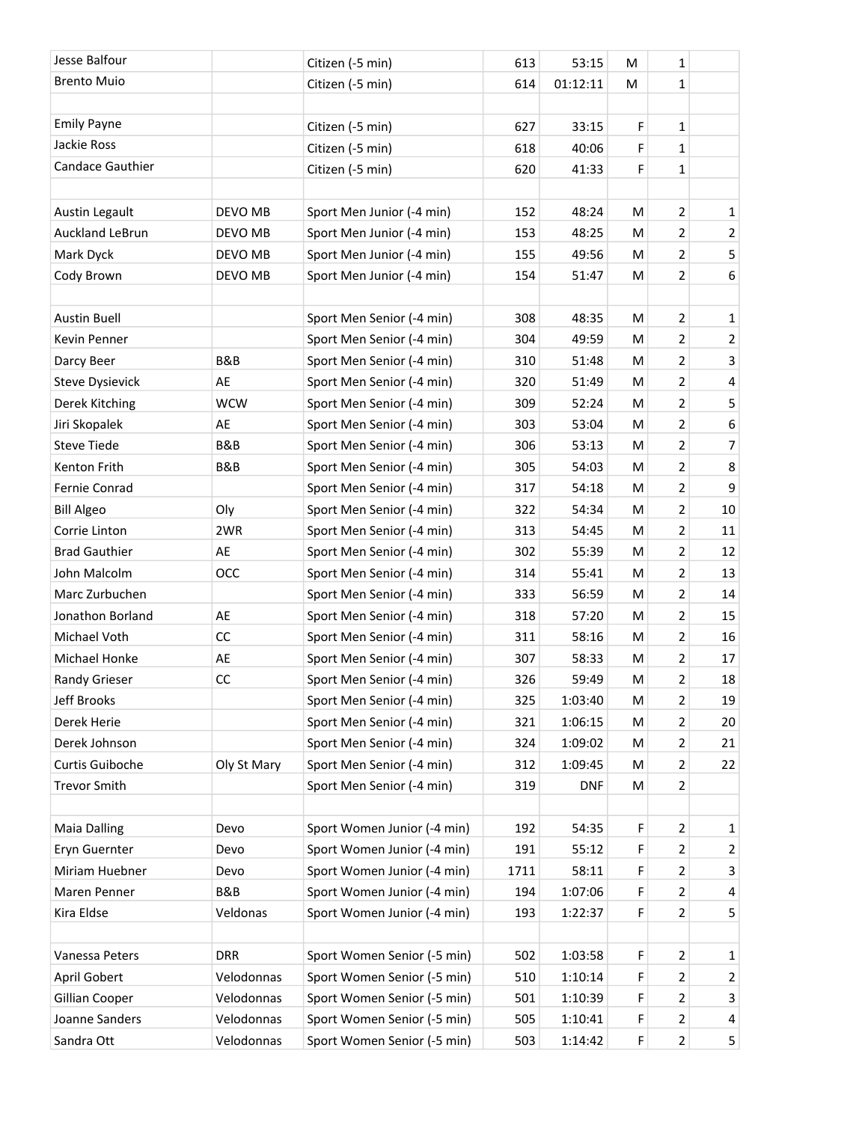| Jesse Balfour          |             | Citizen (-5 min)            | 613  | 53:15      | M | 1              |                |
|------------------------|-------------|-----------------------------|------|------------|---|----------------|----------------|
| <b>Brento Muio</b>     |             | Citizen (-5 min)            | 614  | 01:12:11   | М | 1              |                |
|                        |             |                             |      |            |   |                |                |
| <b>Emily Payne</b>     |             | Citizen (-5 min)            | 627  | 33:15      | F | 1              |                |
| Jackie Ross            |             | Citizen (-5 min)            | 618  | 40:06      | F | 1              |                |
| Candace Gauthier       |             | Citizen (-5 min)            | 620  | 41:33      | F | 1              |                |
|                        |             |                             |      |            |   |                |                |
| Austin Legault         | DEVO MB     | Sport Men Junior (-4 min)   | 152  | 48:24      | M | $\overline{2}$ | $\mathbf{1}$   |
| Auckland LeBrun        | DEVO MB     | Sport Men Junior (-4 min)   | 153  | 48:25      | M | $\overline{2}$ | $\overline{2}$ |
| Mark Dyck              | DEVO MB     | Sport Men Junior (-4 min)   | 155  | 49:56      | M | 2              | 5              |
| Cody Brown             | DEVO MB     | Sport Men Junior (-4 min)   | 154  | 51:47      | М | $\overline{2}$ | 6              |
|                        |             |                             |      |            |   |                |                |
| <b>Austin Buell</b>    |             | Sport Men Senior (-4 min)   | 308  | 48:35      | M | 2              | 1              |
| <b>Kevin Penner</b>    |             | Sport Men Senior (-4 min)   | 304  | 49:59      | M | 2              | $\overline{2}$ |
| Darcy Beer             | B&B         | Sport Men Senior (-4 min)   | 310  | 51:48      | M | $\overline{2}$ | 3              |
| <b>Steve Dysievick</b> | AE          | Sport Men Senior (-4 min)   | 320  | 51:49      | M | 2              | 4              |
| Derek Kitching         | <b>WCW</b>  | Sport Men Senior (-4 min)   | 309  | 52:24      | M | $\overline{2}$ | 5              |
| Jiri Skopalek          | AE          | Sport Men Senior (-4 min)   | 303  | 53:04      | M | 2              | 6              |
| <b>Steve Tiede</b>     | B&B         | Sport Men Senior (-4 min)   | 306  | 53:13      | M | 2              | $\overline{7}$ |
| Kenton Frith           | B&B         | Sport Men Senior (-4 min)   | 305  | 54:03      | M | 2              | 8              |
| Fernie Conrad          |             | Sport Men Senior (-4 min)   | 317  | 54:18      | M | $\overline{2}$ | 9              |
| <b>Bill Algeo</b>      | Oly         | Sport Men Senior (-4 min)   | 322  | 54:34      | M | 2              | 10             |
| Corrie Linton          | 2WR         | Sport Men Senior (-4 min)   | 313  | 54:45      | M | $\overline{2}$ | 11             |
| <b>Brad Gauthier</b>   | AE          | Sport Men Senior (-4 min)   | 302  | 55:39      | M | 2              | 12             |
| John Malcolm           | OCC         | Sport Men Senior (-4 min)   | 314  | 55:41      | M | 2              | 13             |
| Marc Zurbuchen         |             | Sport Men Senior (-4 min)   | 333  | 56:59      | M | 2              | 14             |
| Jonathon Borland       | AE          | Sport Men Senior (-4 min)   | 318  | 57:20      | M | $\overline{2}$ | 15             |
| Michael Voth           | CC          | Sport Men Senior (-4 min)   | 311  | 58:16      | M | 2              | 16             |
| Michael Honke          | AE          | Sport Men Senior (-4 min)   | 307  | 58:33      | M | 2              | 17             |
| Randy Grieser          | CC          | Sport Men Senior (-4 min)   | 326  | 59:49      | М | 2              | 18             |
| Jeff Brooks            |             | Sport Men Senior (-4 min)   | 325  | 1:03:40    | M | $\overline{2}$ | 19             |
| Derek Herie            |             | Sport Men Senior (-4 min)   | 321  | 1:06:15    | M | 2              | 20             |
| Derek Johnson          |             | Sport Men Senior (-4 min)   | 324  | 1:09:02    | M | $\overline{2}$ | 21             |
| Curtis Guiboche        | Oly St Mary | Sport Men Senior (-4 min)   | 312  | 1:09:45    | M | 2              | 22             |
| <b>Trevor Smith</b>    |             | Sport Men Senior (-4 min)   | 319  | <b>DNF</b> | M | $\overline{2}$ |                |
|                        |             |                             |      |            |   |                |                |
| <b>Maia Dalling</b>    | Devo        | Sport Women Junior (-4 min) | 192  | 54:35      | F | $\overline{2}$ | $\mathbf{1}$   |
| Eryn Guernter          | Devo        | Sport Women Junior (-4 min) | 191  | 55:12      | F | 2              | $\overline{2}$ |
| Miriam Huebner         | Devo        | Sport Women Junior (-4 min) | 1711 | 58:11      | F | 2              | 3              |
| Maren Penner           | B&B         | Sport Women Junior (-4 min) | 194  | 1:07:06    | F | 2              | 4              |
| Kira Eldse             | Veldonas    | Sport Women Junior (-4 min) | 193  | 1:22:37    | F | 2              | 5              |
| Vanessa Peters         | <b>DRR</b>  | Sport Women Senior (-5 min) | 502  | 1:03:58    | F | 2              | 1              |
| April Gobert           | Velodonnas  | Sport Women Senior (-5 min) | 510  | 1:10:14    | F | 2              | $\overline{2}$ |
| Gillian Cooper         | Velodonnas  | Sport Women Senior (-5 min) | 501  | 1:10:39    | F | 2              | 3              |
| Joanne Sanders         | Velodonnas  | Sport Women Senior (-5 min) | 505  | 1:10:41    | F | 2              | 4              |
| Sandra Ott             | Velodonnas  | Sport Women Senior (-5 min) | 503  | 1:14:42    | F | $\overline{2}$ | 5              |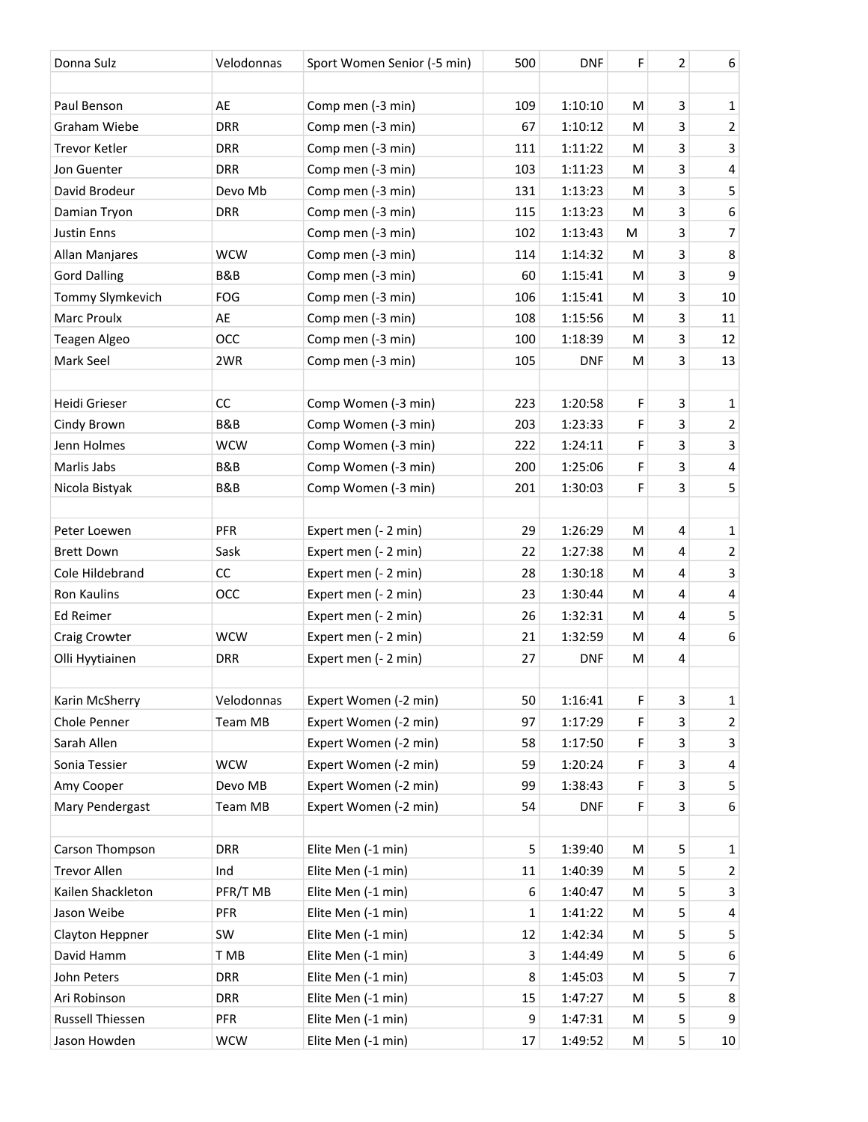| Donna Sulz           | Velodonnas     | Sport Women Senior (-5 min) | 500 | <b>DNF</b> | F | 2              | 6              |
|----------------------|----------------|-----------------------------|-----|------------|---|----------------|----------------|
|                      |                |                             |     |            |   |                |                |
| Paul Benson          | AE             | Comp men (-3 min)           | 109 | 1:10:10    | M | 3              | $\mathbf 1$    |
| Graham Wiebe         | <b>DRR</b>     | Comp men (-3 min)           | 67  | 1:10:12    | M | 3              | $\overline{2}$ |
| <b>Trevor Ketler</b> | <b>DRR</b>     | Comp men (-3 min)           | 111 | 1:11:22    | M | 3              | 3              |
| Jon Guenter          | <b>DRR</b>     | Comp men (-3 min)           | 103 | 1:11:23    | M | 3              | 4              |
| David Brodeur        | Devo Mb        | Comp men (-3 min)           | 131 | 1:13:23    | M | 3              | 5              |
| Damian Tryon         | <b>DRR</b>     | Comp men (-3 min)           | 115 | 1:13:23    | M | 3              | 6              |
| <b>Justin Enns</b>   |                | Comp men (-3 min)           | 102 | 1:13:43    | M | 3              | $\overline{7}$ |
| Allan Manjares       | <b>WCW</b>     | Comp men (-3 min)           | 114 | 1:14:32    | M | 3              | 8              |
| <b>Gord Dalling</b>  | B&B            | Comp men (-3 min)           | 60  | 1:15:41    | M | 3              | 9              |
| Tommy Slymkevich     | FOG            | Comp men (-3 min)           | 106 | 1:15:41    | M | 3              | $10\,$         |
| Marc Proulx          | AE             | Comp men (-3 min)           | 108 | 1:15:56    | M | 3              | 11             |
| Teagen Algeo         | OCC            | Comp men (-3 min)           | 100 | 1:18:39    | M | 3              | 12             |
| Mark Seel            | 2WR            | Comp men (-3 min)           | 105 | <b>DNF</b> | M | 3              | 13             |
|                      |                |                             |     |            |   |                |                |
| Heidi Grieser        | CC             | Comp Women (-3 min)         | 223 | 1:20:58    | F | 3              | $\mathbf 1$    |
| Cindy Brown          | <b>B&amp;B</b> | Comp Women (-3 min)         | 203 | 1:23:33    | F | 3              | $\overline{2}$ |
| Jenn Holmes          | <b>WCW</b>     | Comp Women (-3 min)         | 222 | 1:24:11    | F | 3              | 3              |
| Marlis Jabs          | B&B            | Comp Women (-3 min)         | 200 | 1:25:06    | F | 3              | 4              |
| Nicola Bistyak       | B&B            | Comp Women (-3 min)         | 201 | 1:30:03    | F | 3              | 5              |
|                      |                |                             |     |            |   |                |                |
| Peter Loewen         | PFR            | Expert men (- 2 min)        | 29  | 1:26:29    | M | $\overline{4}$ | $\mathbf 1$    |
| <b>Brett Down</b>    | Sask           | Expert men (- 2 min)        | 22  | 1:27:38    | M | 4              | $\overline{2}$ |
| Cole Hildebrand      | CC             | Expert men (- 2 min)        | 28  | 1:30:18    | M | 4              | 3              |
| <b>Ron Kaulins</b>   | <b>OCC</b>     | Expert men (- 2 min)        | 23  | 1:30:44    | M | 4              | 4              |
| Ed Reimer            |                | Expert men (- 2 min)        | 26  | 1:32:31    | M | 4              | 5              |
| Craig Crowter        | <b>WCW</b>     | Expert men (- 2 min)        | 21  | 1:32:59    | M | 4              | 6              |
| Olli Hyytiainen      | <b>DRR</b>     | Expert men (- 2 min)        | 27  | <b>DNF</b> | M | 4              |                |
|                      |                |                             |     |            |   |                |                |
| Karin McSherry       | Velodonnas     | Expert Women (-2 min)       | 50  | 1:16:41    | F | 3              | $\mathbf{1}$   |
| Chole Penner         | Team MB        | Expert Women (-2 min)       | 97  | 1:17:29    | F | 3              | $\overline{2}$ |
| Sarah Allen          |                | Expert Women (-2 min)       | 58  | 1:17:50    | F | 3              | 3              |
| Sonia Tessier        | <b>WCW</b>     | Expert Women (-2 min)       | 59  | 1:20:24    | F | 3              | 4              |
| Amy Cooper           | Devo MB        | Expert Women (-2 min)       | 99  | 1:38:43    | F | 3              | 5              |
| Mary Pendergast      | <b>Team MB</b> | Expert Women (-2 min)       | 54  | <b>DNF</b> | F | 3              | 6              |
|                      |                |                             |     |            |   |                |                |
| Carson Thompson      | <b>DRR</b>     | Elite Men (-1 min)          | 5   | 1:39:40    | M | 5              | $\mathbf{1}$   |
| <b>Trevor Allen</b>  | Ind            | Elite Men (-1 min)          | 11  | 1:40:39    | M | 5              | $\overline{2}$ |
| Kailen Shackleton    | PFR/T MB       | Elite Men (-1 min)          | 6   | 1:40:47    | M | 5              | 3              |
| Jason Weibe          | PFR            | Elite Men (-1 min)          | 1   | 1:41:22    | M | 5              | 4              |
| Clayton Heppner      | SW             | Elite Men (-1 min)          | 12  | 1:42:34    | M | 5              | 5              |
| David Hamm           | T MB           | Elite Men (-1 min)          | 3   | 1:44:49    | M | 5              | 6              |
| John Peters          | <b>DRR</b>     | Elite Men (-1 min)          | 8   | 1:45:03    | M | 5              | 7              |
| Ari Robinson         | <b>DRR</b>     | Elite Men (-1 min)          | 15  | 1:47:27    | M | 5              | 8              |
| Russell Thiessen     | PFR            | Elite Men (-1 min)          | 9   | 1:47:31    | M | 5              | 9              |
| Jason Howden         | <b>WCW</b>     | Elite Men (-1 min)          | 17  | 1:49:52    | M | 5              | 10             |